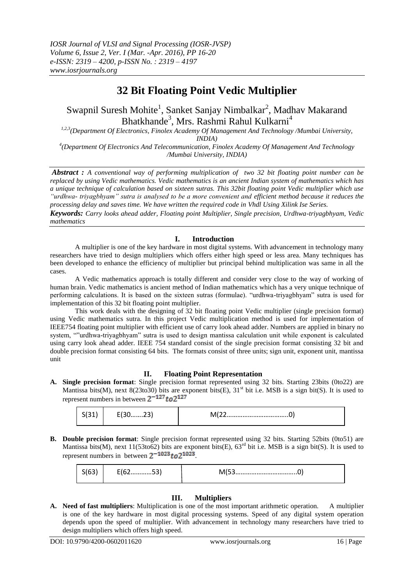# **32 Bit Floating Point Vedic Multiplier**

# Swapnil Suresh Mohite<sup>1</sup>, Sanket Sanjay Nimbalkar<sup>2</sup>, Madhav Makarand Bhatkhande<sup>3</sup>, Mrs. Rashmi Rahul Kulkarni<sup>4</sup>

*1,2,3(Department Of Electronics, Finolex Academy Of Management And Technology /Mumbai University, INDIA)*

*4 (Department Of Electronics And Telecommunication, Finolex Academy Of Management And Technology /Mumbai University, INDIA)*

*Abstract : A conventional way of performing multiplication of two 32 bit floating point number can be replaced by using Vedic mathematics. Vedic mathematics is an ancient Indian system of mathematics which has a unique technique of calculation based on sixteen sutras. This 32bit floating point Vedic multiplier which use "urdhwa- triyagbhyam" sutra is analysed to be a more convenient and efficient method because it reduces the processing delay and saves time. We have written the required code in Vhdl Using Xilink Ise Series.*

*Keywords: Carry looks ahead adder, Floating point Multiplier, Single precision, Urdhwa-triyagbhyam, Vedic mathematics*

## **I. Introduction**

A multiplier is one of the key hardware in most digital systems. With advancement in technology many researchers have tried to design multipliers which offers either high speed or less area. Many techniques has been developed to enhance the efficiency of multiplier but principal behind multiplication was same in all the cases.

A Vedic mathematics approach is totally different and consider very close to the way of working of human brain. Vedic mathematics is ancient method of Indian mathematics which has a very unique technique of performing calculations. It is based on the sixteen sutras (formulae). "urdhwa-triyagbhyam" sutra is used for implementation of this 32 bit floating point multiplier.

This work deals with the designing of 32 bit floating point Vedic multiplier (single precision format) using Vedic mathematics sutra. In this project Vedic multiplication method is used for implementation of IEEE754 floating point multiplier with efficient use of carry look ahead adder. Numbers are applied in binary no system, ""urdhwa-triyagbhyam" sutra is used to design mantissa calculation unit while exponent is calculated using carry look ahead adder. IEEE 754 standard consist of the single precision format consisting 32 bit and double precision format consisting 64 bits. The formats consist of three units; sign unit, exponent unit, mantissa unit

## **II. Floating Point Representation**

**A. Single precision format**: Single precision format represented using 32 bits. Starting 23bits (0to22) are Mantissa bits(M), next 8(23to30) bits are exponent bits(E),  $31<sup>st</sup>$  bit i.e. MSB is a sign bit(S). It is used to represent numbers in between  $2^{-127}$  to  $2^{127}$ 

|  | ~~<br>– ∟ ∪………∠ ) , | יי<br><b></b> |
|--|---------------------|---------------|
|--|---------------------|---------------|

**B. Double precision format**: Single precision format represented using 32 bits. Starting 52bits (0to51) are Mantissa bits(M), next 11(53to62) bits are exponent bits(E),  $63<sup>rd</sup>$  bit i.e. MSB is a sign bit(S). It is used to represent numbers in between  $2^{-1023}$  to  $2^{1023}$ .

|  | - -<br><u>LIUZJJI</u> |  |
|--|-----------------------|--|
|--|-----------------------|--|

# **III. Multipliers**

**A. Need of fast multipliers**: Multiplication is one of the most important arithmetic operation. A multiplier is one of the key hardware in most digital processing systems. Speed of any digital system operation depends upon the speed of multiplier. With advancement in technology many researchers have tried to design multipliers which offers high speed.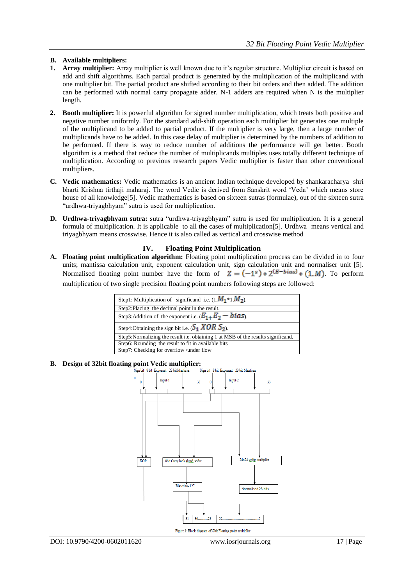## **B. Available multipliers:**

- **1. Array multiplier:** Array multiplier is well known due to it's regular structure. Multiplier circuit is based on add and shift algorithms. Each partial product is generated by the multiplication of the multiplicand with one multiplier bit. The partial product are shifted according to their bit orders and then added. The addition can be performed with normal carry propagate adder. N-1 adders are required when N is the multiplier length.
- **2. Booth multiplier:** It is powerful algorithm for signed number multiplication, which treats both positive and negative number uniformly. For the standard add-shift operation each multiplier bit generates one multiple of the multiplicand to be added to partial product. If the multiplier is very large, then a large number of multiplicands have to be added. In this case delay of multiplier is determined by the numbers of addition to be performed. If there is way to reduce number of additions the performance will get better. Booth algorithm is a method that reduce the number of multiplicands multiples uses totally different technique of multiplication. According to previous research papers Vedic multiplier is faster than other conventional multipliers.
- **C. Vedic mathematics:** Vedic mathematics is an ancient Indian technique developed by shankaracharya shri bharti Krishna tirthaji maharaj. The word Vedic is derived from Sanskrit word "Veda" which means store house of all knowledge[5]. Vedic mathematics is based on sixteen sutras (formulae), out of the sixteen sutra "urdhwa-triyagbhyam" sutra is used for multiplication.
- **D. Urdhwa-triyagbhyam sutra:** sutra "urdhwa-triyagbhyam" sutra is used for multiplication. It is a general formula of multiplication. It is applicable to all the cases of multiplication[5]. Urdhwa means vertical and triyagbhyam means crosswise. Hence it is also called as vertical and crosswise method

# **IV. Floating Point Multiplication**

**A. Floating point multiplication algorithm:** Floating point multiplication process can be divided in to four units; mantissa calculation unit, exponent calculation unit, sign calculation unit and normaliser unit [5]. Normalised floating point number have the form of  $Z = (-1^s) * 2^{(E-bias)} * (1, M)$ . To perform multiplication of two single precision floating point numbers following steps are followed:



# **B. Design of 32bit floating point Vedic multiplier:**

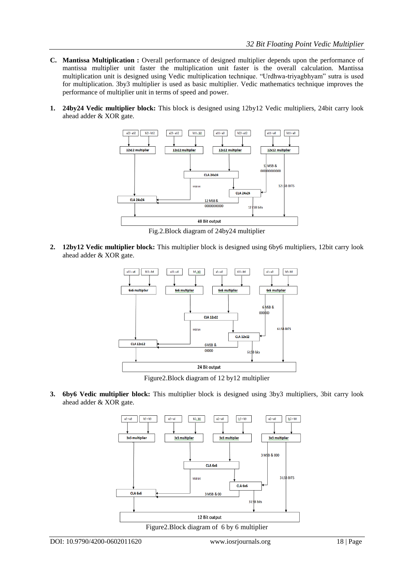- **C. Mantissa Multiplication :** Overall performance of designed multiplier depends upon the performance of mantissa multiplier unit faster the multiplication unit faster is the overall calculation. Mantissa multiplication unit is designed using Vedic multiplication technique. "Urdhwa-triyagbhyam" sutra is used for multiplication. 3by3 multiplier is used as basic multiplier. Vedic mathematics technique improves the performance of multiplier unit in terms of speed and power.
- **1. 24by24 Vedic multiplier block:** This block is designed using 12by12 Vedic multipliers, 24bit carry look ahead adder & XOR gate.



Fig.2.Block diagram of 24by24 multiplier

**2. 12by12 Vedic multiplier block:** This multiplier block is designed using 6by6 multipliers, 12bit carry look ahead adder & XOR gate.



Figure2.Block diagram of 12 by12 multiplier

**3. 6by6 Vedic multiplier block:** This multiplier block is designed using 3by3 multipliers, 3bit carry look ahead adder & XOR gate.

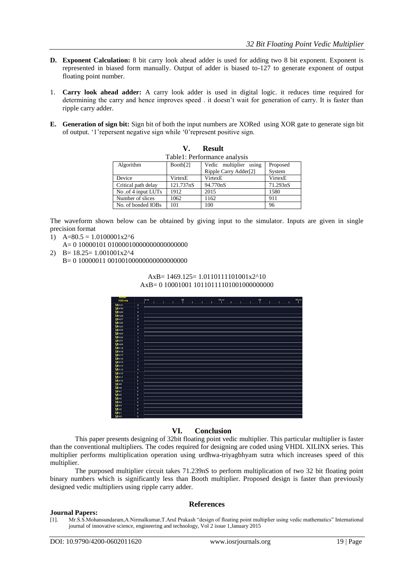- **D. Exponent Calculation:** 8 bit carry look ahead adder is used for adding two 8 bit exponent. Exponent is represented in biased form manually. Output of adder is biased to-127 to generate exponent of output floating point number.
- 1. **Carry look ahead adder:** A carry look adder is used in digital logic. it reduces time required for determining the carry and hence improves speed . it doesn't wait for generation of carry. It is faster than ripple carry adder.
- **E. Generation of sign bit:** Sign bit of both the input numbers are XORed using XOR gate to generate sign bit of output. "1"repersent negative sign while "0"represent positive sign.

**V. Result**

| Table1: Performance analysis |           |                        |          |  |  |  |  |
|------------------------------|-----------|------------------------|----------|--|--|--|--|
| Algorithm                    | Booth[2]  | Vedic multiplier using | Proposed |  |  |  |  |
|                              |           | Ripple Carry Adder[2]  | System   |  |  |  |  |
| Device                       | VirtexE   | VirtexE                | VirtexE  |  |  |  |  |
| Critical path delay          | 121.737nS | 94.770nS               | 71.293nS |  |  |  |  |
| No .of 4 input LUTs          | 1912      | 2015                   | 1580     |  |  |  |  |
| Number of slices             | 1062      | 1162                   | 911      |  |  |  |  |
| No. of bonded IOBs           | 101       | 100                    | 96       |  |  |  |  |

The waveform shown below can be obtained by giving input to the simulator. Inputs are given in single precision format

- 1)  $A=80.5 = 1.0100001x2^{6}$ 
	- A= 0 10000101 01000010000000000000000
- 2)  $B = 18.25 = 1.001001x2^{4}$

B= 0 10000011 00100100000000000000000

#### AxB= 1469.125= 1.0110111101001x2^10 AxB= 0 10001001 10110111101001000000000



## **VI. Conclusion**

This paper presents designing of 32bit floating point vedic multiplier. This particular multiplier is faster than the conventional multipliers. The codes required for designing are coded using VHDL XILINX series. This multiplier performs multiplication operation using urdhwa-triyagbhyam sutra which increases speed of this multiplier.

The purposed multiplier circuit takes 71.239nS to perform multiplication of two 32 bit floating point binary numbers which is significantly less than Booth multiplier. Proposed design is faster than previously designed vedic multipliers using ripple carry adder.

## **References**

#### **Journal Papers:**

[1]. Mr.S.S.Mohansundaram,A.Nirmalkumar,T.Arul Prakash "design of floating point multiplier using vedic mathematics" International journal of innovative science, engineering and technology, Vol 2 issue 1,January 2015